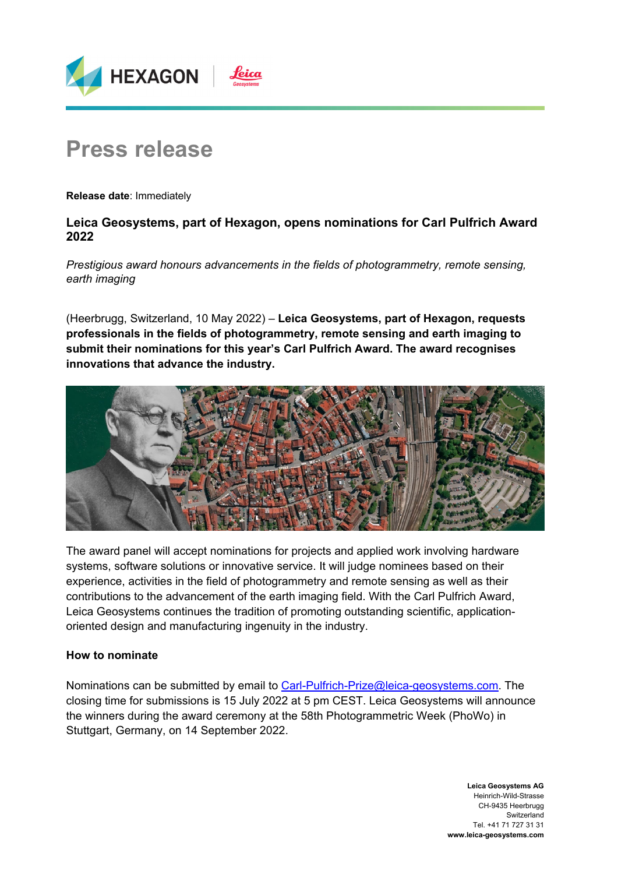

# **Press release**

**Release date**: Immediately

## **Leica Geosystems, part of Hexagon, opens nominations for Carl Pulfrich Award 2022**

*Prestigious award honours advancements in the fields of photogrammetry, remote sensing, earth imaging* 

(Heerbrugg, Switzerland, 10 May 2022) – **Leica Geosystems, part of Hexagon, requests professionals in the fields of photogrammetry, remote sensing and earth imaging to submit their nominations for this year's Carl Pulfrich Award. The award recognises innovations that advance the industry.** 



The award panel will accept nominations for projects and applied work involving hardware systems, software solutions or innovative service. It will judge nominees based on their experience, activities in the field of photogrammetry and remote sensing as well as their contributions to the advancement of the earth imaging field. With the Carl Pulfrich Award, Leica Geosystems continues the tradition of promoting outstanding scientific, applicationoriented design and manufacturing ingenuity in the industry.

### **How to nominate**

Nominations can be submitted by email to Carl-Pulfrich-Prize@leica-geosystems.com. The closing time for submissions is 15 July 2022 at 5 pm CEST. Leica Geosystems will announce the winners during the award ceremony at the 58th Photogrammetric Week (PhoWo) in Stuttgart, Germany, on 14 September 2022.

> **Leica Geosystems AG**  Heinrich-Wild-Strasse CH-9435 Heerbrugg Switzerland Tel. +41 71 727 31 31 **www.leica-geosystems.com**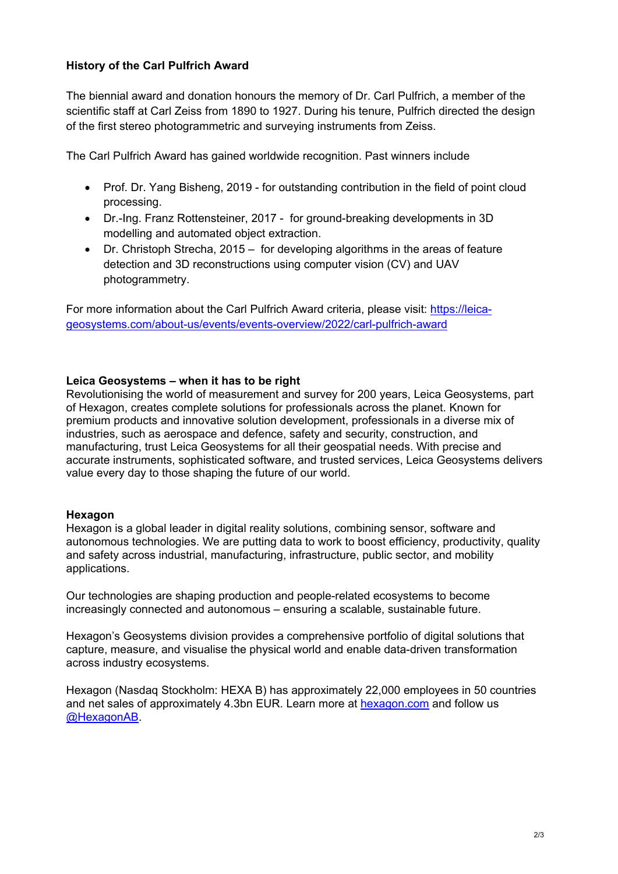## **History of the Carl Pulfrich Award**

The biennial award and donation honours the memory of Dr. Carl Pulfrich, a member of the scientific staff at Carl Zeiss from 1890 to 1927. During his tenure, Pulfrich directed the design of the first stereo photogrammetric and surveying instruments from Zeiss.

The Carl Pulfrich Award has gained worldwide recognition. Past winners include

- Prof. Dr. Yang Bisheng, 2019 for outstanding contribution in the field of point cloud processing.
- Dr.-Ing. Franz Rottensteiner, 2017 for ground-breaking developments in 3D modelling and automated object extraction.
- Dr. Christoph Strecha, 2015 for developing algorithms in the areas of feature detection and 3D reconstructions using computer vision (CV) and UAV photogrammetry.

For more information about the Carl Pulfrich Award criteria, please visit: https://leicageosystems.com/about-us/events/events-overview/2022/carl-pulfrich-award

#### **Leica Geosystems – when it has to be right**

Revolutionising the world of measurement and survey for 200 years, Leica Geosystems, part of Hexagon, creates complete solutions for professionals across the planet. Known for premium products and innovative solution development, professionals in a diverse mix of industries, such as aerospace and defence, safety and security, construction, and manufacturing, trust Leica Geosystems for all their geospatial needs. With precise and accurate instruments, sophisticated software, and trusted services, Leica Geosystems delivers value every day to those shaping the future of our world.

#### **Hexagon**

Hexagon is a global leader in digital reality solutions, combining sensor, software and autonomous technologies. We are putting data to work to boost efficiency, productivity, quality and safety across industrial, manufacturing, infrastructure, public sector, and mobility applications.

Our technologies are shaping production and people-related ecosystems to become increasingly connected and autonomous – ensuring a scalable, sustainable future.

Hexagon's Geosystems division provides a comprehensive portfolio of digital solutions that capture, measure, and visualise the physical world and enable data-driven transformation across industry ecosystems.

Hexagon (Nasdaq Stockholm: HEXA B) has approximately 22,000 employees in 50 countries and net sales of approximately 4.3bn EUR. Learn more at hexagon.com and follow us @HexagonAB.